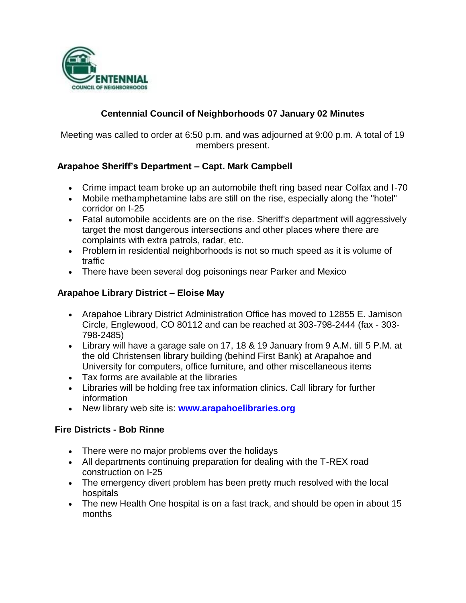

## **Centennial Council of Neighborhoods 07 January 02 Minutes**

Meeting was called to order at 6:50 p.m. and was adjourned at 9:00 p.m. A total of 19 members present.

### **Arapahoe Sheriff's Department – Capt. Mark Campbell**

- Crime impact team broke up an automobile theft ring based near Colfax and I-70
- Mobile methamphetamine labs are still on the rise, especially along the "hotel" corridor on I-25
- Fatal automobile accidents are on the rise. Sheriff's department will aggressively target the most dangerous intersections and other places where there are complaints with extra patrols, radar, etc.
- Problem in residential neighborhoods is not so much speed as it is volume of traffic
- There have been several dog poisonings near Parker and Mexico

#### **Arapahoe Library District – Eloise May**

- Arapahoe Library District Administration Office has moved to 12855 E. Jamison Circle, Englewood, CO 80112 and can be reached at 303-798-2444 (fax - 303- 798-2485)
- Library will have a garage sale on 17, 18 & 19 January from 9 A.M. till 5 P.M. at the old Christensen library building (behind First Bank) at Arapahoe and University for computers, office furniture, and other miscellaneous items
- Tax forms are available at the libraries
- Libraries will be holding free tax information clinics. Call library for further information
- New library web site is: **www.arapahoelibraries.org**

#### **Fire Districts - Bob Rinne**

- There were no major problems over the holidays
- All departments continuing preparation for dealing with the T-REX road construction on I-25
- The emergency divert problem has been pretty much resolved with the local hospitals
- The new Health One hospital is on a fast track, and should be open in about 15 months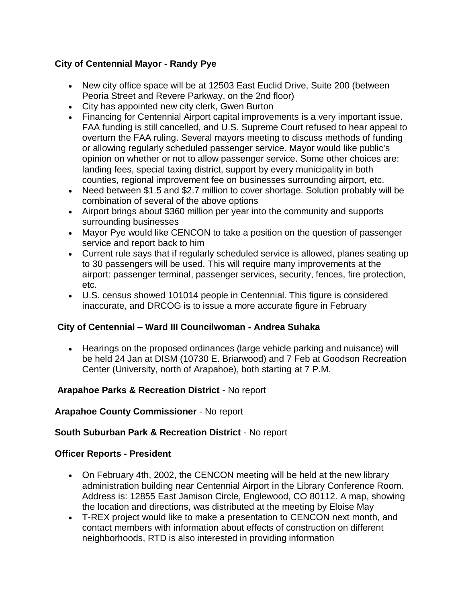### **City of Centennial Mayor - Randy Pye**

- New city office space will be at 12503 East Euclid Drive, Suite 200 (between Peoria Street and Revere Parkway, on the 2nd floor)
- City has appointed new city clerk, Gwen Burton
- Financing for Centennial Airport capital improvements is a very important issue. FAA funding is still cancelled, and U.S. Supreme Court refused to hear appeal to overturn the FAA ruling. Several mayors meeting to discuss methods of funding or allowing regularly scheduled passenger service. Mayor would like public's opinion on whether or not to allow passenger service. Some other choices are: landing fees, special taxing district, support by every municipality in both counties, regional improvement fee on businesses surrounding airport, etc.
- Need between \$1.5 and \$2.7 million to cover shortage. Solution probably will be combination of several of the above options
- Airport brings about \$360 million per year into the community and supports surrounding businesses
- Mayor Pye would like CENCON to take a position on the question of passenger service and report back to him
- Current rule says that if regularly scheduled service is allowed, planes seating up to 30 passengers will be used. This will require many improvements at the airport: passenger terminal, passenger services, security, fences, fire protection, etc.
- U.S. census showed 101014 people in Centennial. This figure is considered inaccurate, and DRCOG is to issue a more accurate figure in February

### **City of Centennial – Ward III Councilwoman - Andrea Suhaka**

 Hearings on the proposed ordinances (large vehicle parking and nuisance) will be held 24 Jan at DISM (10730 E. Briarwood) and 7 Feb at Goodson Recreation Center (University, north of Arapahoe), both starting at 7 P.M.

### **Arapahoe Parks & Recreation District** - No report

### **Arapahoe County Commissioner** - No report

### **South Suburban Park & Recreation District** - No report

#### **Officer Reports - President**

- On February 4th, 2002, the CENCON meeting will be held at the new library administration building near Centennial Airport in the Library Conference Room. Address is: 12855 East Jamison Circle, Englewood, CO 80112. A map, showing the location and directions, was distributed at the meeting by Eloise May
- T-REX project would like to make a presentation to CENCON next month, and contact members with information about effects of construction on different neighborhoods, RTD is also interested in providing information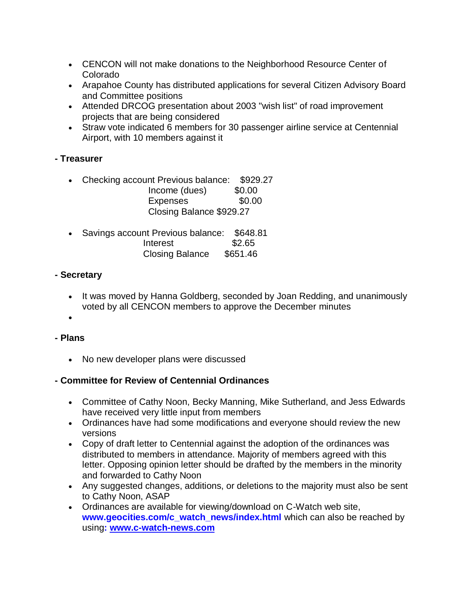- CENCON will not make donations to the Neighborhood Resource Center of Colorado
- Arapahoe County has distributed applications for several Citizen Advisory Board and Committee positions
- Attended DRCOG presentation about 2003 "wish list" of road improvement projects that are being considered
- Straw vote indicated 6 members for 30 passenger airline service at Centennial Airport, with 10 members against it

## **- Treasurer**

- Checking account Previous balance: \$929.27 Income (dues) \$0.00 Expenses \$0.00 Closing Balance \$929.27
- Savings account Previous balance: \$648.81 Interest \$2.65 Closing Balance \$651.46

### **- Secretary**

- It was moved by Hanna Goldberg, seconded by Joan Redding, and unanimously voted by all CENCON members to approve the December minutes
- $\bullet$

### **- Plans**

• No new developer plans were discussed

# **- Committee for Review of Centennial Ordinances**

- Committee of Cathy Noon, Becky Manning, Mike Sutherland, and Jess Edwards have received very little input from members
- Ordinances have had some modifications and everyone should review the new versions
- Copy of draft letter to Centennial against the adoption of the ordinances was distributed to members in attendance. Majority of members agreed with this letter. Opposing opinion letter should be drafted by the members in the minority and forwarded to Cathy Noon
- Any suggested changes, additions, or deletions to the majority must also be sent to Cathy Noon, ASAP
- Ordinances are available for viewing/download on C-Watch web site, **www.geocities.com/c\_watch\_news/index.html** which can also be reached by using**: [www.c-watch-news.com](http://www.c-watch-news.com/)**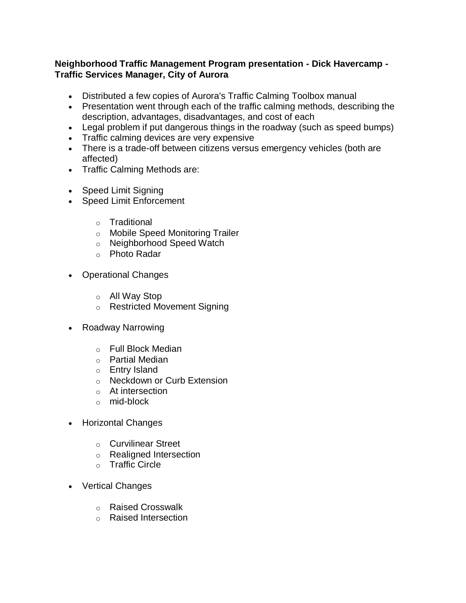#### **Neighborhood Traffic Management Program presentation - Dick Havercamp - Traffic Services Manager, City of Aurora**

- Distributed a few copies of Aurora's Traffic Calming Toolbox manual
- Presentation went through each of the traffic calming methods, describing the description, advantages, disadvantages, and cost of each
- Legal problem if put dangerous things in the roadway (such as speed bumps)
- Traffic calming devices are very expensive
- There is a trade-off between citizens versus emergency vehicles (both are affected)
- Traffic Calming Methods are:
- Speed Limit Signing
- Speed Limit Enforcement
	- o Traditional
	- o Mobile Speed Monitoring Trailer
	- o Neighborhood Speed Watch
	- o Photo Radar
- Operational Changes
	- o All Way Stop
	- o Restricted Movement Signing
- Roadway Narrowing
	- o Full Block Median
	- o Partial Median
	- o Entry Island
	- o Neckdown or Curb Extension
	- o At intersection
	- o mid-block
- Horizontal Changes
	- o Curvilinear Street
	- o Realigned Intersection
	- o Traffic Circle
- Vertical Changes
	- o Raised Crosswalk
	- o Raised Intersection